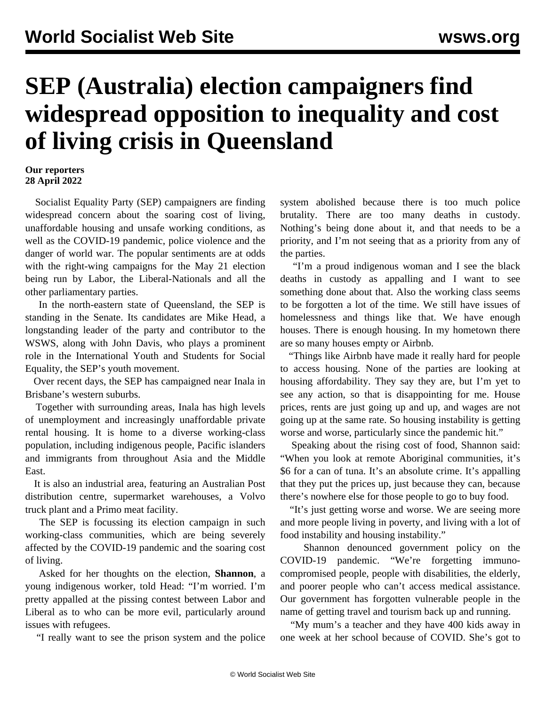## **SEP (Australia) election campaigners find widespread opposition to inequality and cost of living crisis in Queensland**

## **Our reporters 28 April 2022**

 Socialist Equality Party (SEP) campaigners are finding widespread concern about the soaring cost of living, unaffordable housing and unsafe working conditions, as well as the COVID-19 pandemic, police violence and the danger of world war. The popular sentiments are at odds with the right-wing campaigns for the May 21 election being run by Labor, the Liberal-Nationals and all the other parliamentary parties.

 In the north-eastern state of Queensland, the SEP is standing in the Senate. Its candidates are Mike Head, a longstanding leader of the party and contributor to the WSWS, along with John Davis, who plays a prominent role in the International Youth and Students for Social Equality, the SEP's youth movement.

 Over recent days, the SEP has campaigned near Inala in Brisbane's western suburbs.

 Together with surrounding areas, Inala has high levels of unemployment and increasingly unaffordable private rental housing. It is home to a diverse working-class population, including indigenous people, Pacific islanders and immigrants from throughout Asia and the Middle East.

 It is also an industrial area, featuring an Australian Post distribution centre, supermarket warehouses, a Volvo truck plant and a Primo meat facility.

 The SEP is focussing its election campaign in such working-class communities, which are being severely affected by the COVID-19 pandemic and the soaring cost of living.

 Asked for her thoughts on the election, **Shannon**, a young indigenous worker, told Head: "I'm worried. I'm pretty appalled at the pissing contest between Labor and Liberal as to who can be more evil, particularly around issues with refugees.

"I really want to see the prison system and the police

system abolished because there is too much police brutality. There are too many deaths in custody. Nothing's being done about it, and that needs to be a priority, and I'm not seeing that as a priority from any of the parties.

 "I'm a proud indigenous woman and I see the black deaths in custody as appalling and I want to see something done about that. Also the working class seems to be forgotten a lot of the time. We still have issues of homelessness and things like that. We have enough houses. There is enough housing. In my hometown there are so many houses empty or Airbnb.

 "Things like Airbnb have made it really hard for people to access housing. None of the parties are looking at housing affordability. They say they are, but I'm yet to see any action, so that is disappointing for me. House prices, rents are just going up and up, and wages are not going up at the same rate. So housing instability is getting worse and worse, particularly since the pandemic hit."

 Speaking about the rising cost of food, Shannon said: "When you look at remote Aboriginal communities, it's \$6 for a can of tuna. It's an absolute crime. It's appalling that they put the prices up, just because they can, because there's nowhere else for those people to go to buy food.

 "It's just getting worse and worse. We are seeing more and more people living in poverty, and living with a lot of food instability and housing instability."

 Shannon denounced government policy on the COVID-19 pandemic. "We're forgetting immunocompromised people, people with disabilities, the elderly, and poorer people who can't access medical assistance. Our government has forgotten vulnerable people in the name of getting travel and tourism back up and running.

 "My mum's a teacher and they have 400 kids away in one week at her school because of COVID. She's got to